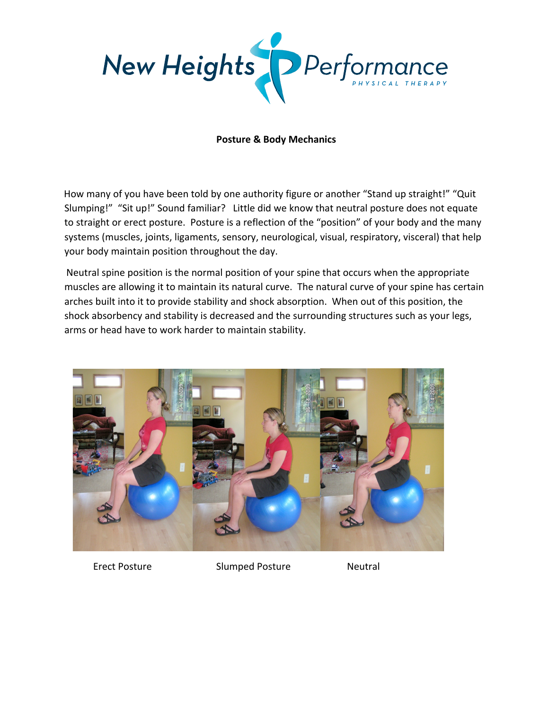

## **Posture & Body Mechanics**

How many of you have been told by one authority figure or another "Stand up straight!" "Quit Slumping!" "Sit up!" Sound familiar? Little did we know that neutral posture does not equate to straight or erect posture. Posture is a reflection of the "position" of your body and the many systems (muscles, joints, ligaments, sensory, neurological, visual, respiratory, visceral) that help your body maintain position throughout the day.

Neutral spine position is the normal position of your spine that occurs when the appropriate muscles are allowing it to maintain its natural curve. The natural curve of your spine has certain arches built into it to provide stability and shock absorption. When out of this position, the shock absorbency and stability is decreased and the surrounding structures such as your legs, arms or head have to work harder to maintain stability.



Erect Posture **Slumped Posture** Neutral